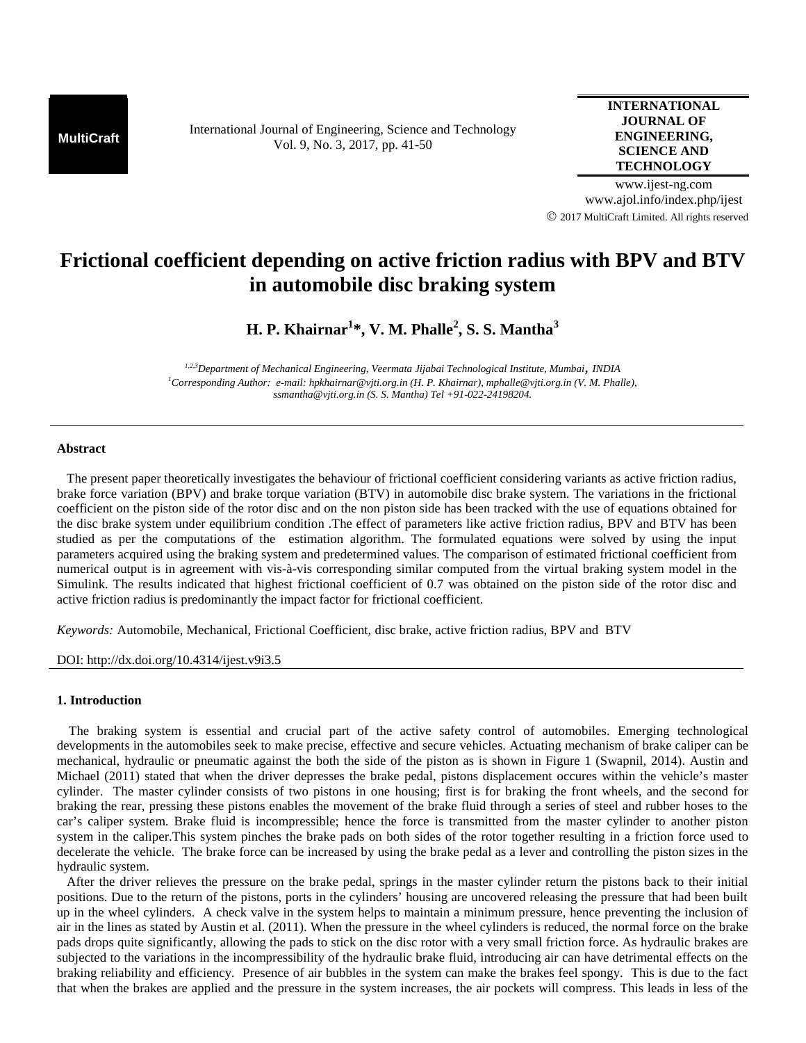**MultiCraft** International Journal of Engineering, Science and Technology Vol. 9, No. 3, 2017, pp. 41-50

## **INTERNATIONAL JOURNAL OF ENGINEERING, SCIENCE AND TECHNOLOGY**

www.ijest-ng.com www.ajol.info/index.php/ijest 2017 MultiCraft Limited. All rights reserved

# **Frictional coefficient depending on active friction radius with BPV and BTV in automobile disc braking system**

**H. P. Khairnar<sup>1</sup>\*, V. M. Phalle<sup>2</sup> , S. S. Mantha<sup>3</sup>**

*1,2,3Department of Mechanical Engineering, Veermata Jijabai Technological Institute, Mumbai, INDIA <sup>1</sup>Corresponding Author: e-mail: hpkhairnar@vjti.org.in (H. P. Khairnar), mphalle@vjti.org.in (V. M. Phalle), ssmantha@vjti.org.in (S. S. Mantha) Tel +91-022-24198204.*

## **Abstract**

The present paper theoretically investigates the behaviour of frictional coefficient considering variants as active friction radius, brake force variation (BPV) and brake torque variation (BTV) in automobile disc brake system. The variations in the frictional coefficient on the piston side of the rotor disc and on the non piston side has been tracked with the use of equations obtained for the disc brake system under equilibrium condition .The effect of parameters like active friction radius, BPV and BTV has been studied as per the computations of the estimation algorithm. The formulated equations were solved by using the input parameters acquired using the braking system and predetermined values. The comparison of estimated frictional coefficient from numerical output is in agreement with vis-à-vis corresponding similar computed from the virtual braking system model in the Simulink. The results indicated that highest frictional coefficient of 0.7 was obtained on the piston side of the rotor disc and active friction radius is predominantly the impact factor for frictional coefficient.

*Keywords:* Automobile, Mechanical, Frictional Coefficient, disc brake, active friction radius, BPV and BTV

DOI: http://dx.doi.org/10.4314/ijest.v9i3.5

## **1. Introduction**

The braking system is essential and crucial part of the active safety control of automobiles. Emerging technological developments in the automobiles seek to make precise, effective and secure vehicles. Actuating mechanism of brake caliper can be mechanical, hydraulic or pneumatic against the both the side of the piston as is shown in Figure 1 (Swapnil, 2014). Austin and Michael (2011) stated that when the driver depresses the brake pedal, pistons displacement occures within the vehicle's master cylinder. The master cylinder consists of two pistons in one housing; first is for braking the front wheels, and the second for braking the rear, pressing these pistons enables the movement of the brake fluid through a series of steel and rubber hoses to the car's caliper system. Brake fluid is incompressible; hence the force is transmitted from the master cylinder to another piston system in the caliper.This system pinches the brake pads on both sides of the rotor together resulting in a friction force used to decelerate the vehicle. The brake force can be increased by using the brake pedal as a lever and controlling the piston sizes in the hydraulic system.

 After the driver relieves the pressure on the brake pedal, springs in the master cylinder return the pistons back to their initial positions. Due to the return of the pistons, ports in the cylinders' housing are uncovered releasing the pressure that had been built up in the wheel cylinders. A check valve in the system helps to maintain a minimum pressure, hence preventing the inclusion of air in the lines as stated by Austin et al. (2011). When the pressure in the wheel cylinders is reduced, the normal force on the brake pads drops quite significantly, allowing the pads to stick on the disc rotor with a very small friction force. As hydraulic brakes are subjected to the variations in the incompressibility of the hydraulic brake fluid, introducing air can have detrimental effects on the braking reliability and efficiency. Presence of air bubbles in the system can make the brakes feel spongy. This is due to the fact that when the brakes are applied and the pressure in the system increases, the air pockets will compress. This leads in less of the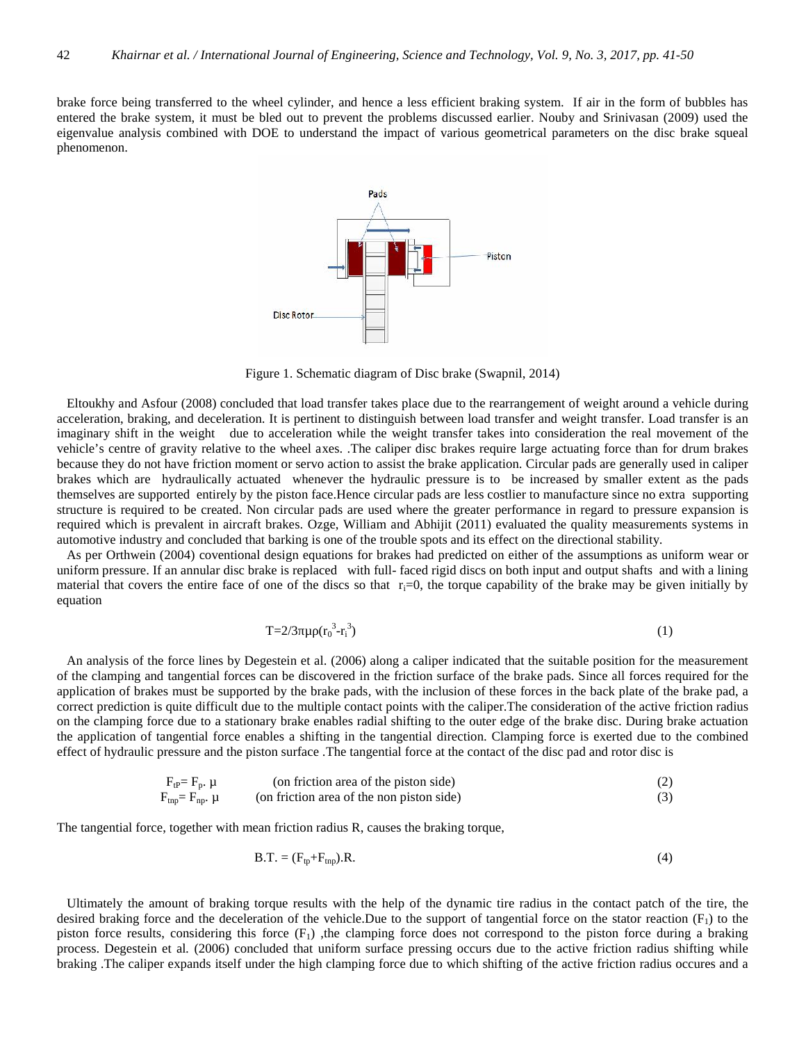brake force being transferred to the wheel cylinder, and hence a less efficient braking system. If air in the form of bubbles has entered the brake system, it must be bled out to prevent the problems discussed earlier. Nouby and Srinivasan (2009) used the eigenvalue analysis combined with DOE to understand the impact of various geometrical parameters on the disc brake squeal phenomenon.



Figure 1. Schematic diagram of Disc brake (Swapnil, 2014)

Eltoukhy and Asfour (2008) concluded that load transfer takes place due to the rearrangement of weight around a vehicle during acceleration, braking, and deceleration. It is pertinent to distinguish between load transfer and weight transfer. Load transfer is an imaginary shift in the weight due to acceleration while the weight transfer takes into consideration the real movement of the vehicle's centre of gravity relative to the wheel axes. .The caliper disc brakes require large actuating force than for drum brakes because they do not have friction moment or servo action to assist the brake application. Circular pads are generally used in caliper brakes which are hydraulically actuated whenever the hydraulic pressure is to be increased by smaller extent as the pads themselves are supported entirely by the piston face.Hence circular pads are less costlier to manufacture since no extra supporting structure is required to be created. Non circular pads are used where the greater performance in regard to pressure expansion is required which is prevalent in aircraft brakes. Ozge, William and Abhijit (2011) evaluated the quality measurements systems in automotive industry and concluded that barking is one of the trouble spots and its effect on the directional stability.

As per Orthwein (2004) coventional design equations for brakes had predicted on either of the assumptions as uniform wear or uniform pressure. If an annular disc brake is replaced with full- faced rigid discs on both input and output shafts and with a lining material that covers the entire face of one of the discs so that  $r_i=0$ , the torque capability of the brake may be given initially by equation

$$
T=2/3 \mu (r_0^3-r_1^3) \tag{1}
$$

An analysis of the force lines by Degestein et al. (2006) along a caliper indicated that the suitable position for the measurement of the clamping and tangential forces can be discovered in the friction surface of the brake pads. Since all forces required for the application of brakes must be supported by the brake pads, with the inclusion of these forces in the back plate of the brake pad, a correct prediction is quite difficult due to the multiple contact points with the caliper.The consideration of the active friction radius on the clamping force due to a stationary brake enables radial shifting to the outer edge of the brake disc. During brake actuation the application of tangential force enables a shifting in the tangential direction. Clamping force is exerted due to the combined effect of hydraulic pressure and the piston surface .The tangential force at the contact of the disc pad and rotor disc is

FtP= Fp. µ (on friction area of the piston side) (2) Ftnp= Fnp. µ (on friction area of the non piston side) (3)

The tangential force, together with mean friction radius R, causes the braking torque,

$$
B.T. = (Ftp+Ftmp).R.
$$
 (4)

Ultimately the amount of braking torque results with the help of the dynamic tire radius in the contact patch of the tire, the desired braking force and the deceleration of the vehicle.Due to the support of tangential force on the stator reaction  $(F_1)$  to the piston force results, considering this force  $(F_1)$ , the clamping force does not correspond to the piston force during a braking process. Degestein et al*.* (2006) concluded that uniform surface pressing occurs due to the active friction radius shifting while braking .The caliper expands itself under the high clamping force due to which shifting of the active friction radius occures and a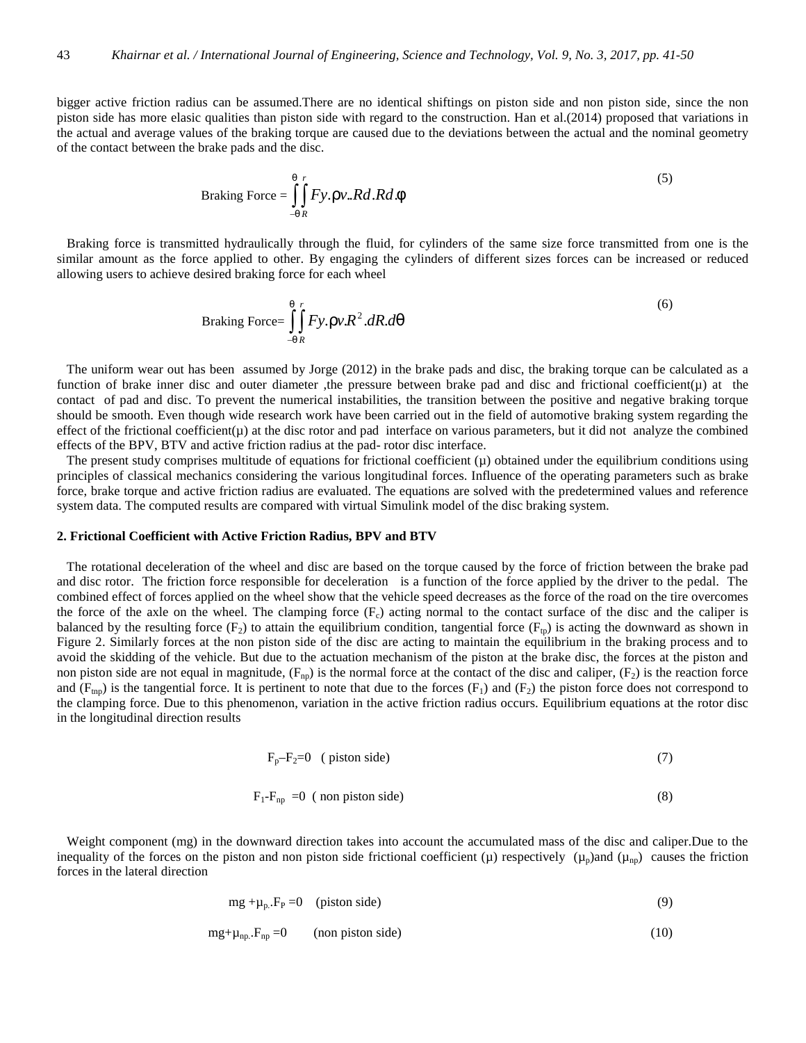bigger active friction radius can be assumed.There are no identical shiftings on piston side and non piston side, since the non piston side has more elasic qualities than piston side with regard to the construction. Han et al.(2014) proposed that variations in the actual and average values of the braking torque are caused due to the deviations between the actual and the nominal geometry of the contact between the brake pads and the disc.

Braking Force = 
$$
\int_{-R}^{R} F y....v...R d.R dW
$$
 (5)

Braking force is transmitted hydraulically through the fluid, for cylinders of the same size force transmitted from one is the similar amount as the force applied to other. By engaging the cylinders of different sizes forces can be increased or reduced allowing users to achieve desired braking force for each wheel

Braking Force=
$$
\int_{-\pi}^{\pi} \int_{R}^{r} F y_{\dots} v R^2 dR d\mu
$$
 (6)

The uniform wear out has been assumed by Jorge (2012) in the brake pads and disc, the braking torque can be calculated as a function of brake inner disc and outer diameter, the pressure between brake pad and disc and frictional coefficient( $\mu$ ) at the contact of pad and disc. To prevent the numerical instabilities, the transition between the positive and negative braking torque should be smooth. Even though wide research work have been carried out in the field of automotive braking system regarding the effect of the frictional coefficient( $\mu$ ) at the disc rotor and pad interface on various parameters, but it did not analyze the combined effects of the BPV, BTV and active friction radius at the pad- rotor disc interface.

The present study comprises multitude of equations for frictional coefficient  $(\mu)$  obtained under the equilibrium conditions using principles of classical mechanics considering the various longitudinal forces. Influence of the operating parameters such as brake force, brake torque and active friction radius are evaluated. The equations are solved with the predetermined values and reference system data. The computed results are compared with virtual Simulink model of the disc braking system.

### **2. Frictional Coefficient with Active Friction Radius, BPV and BTV**

The rotational deceleration of the wheel and disc are based on the torque caused by the force of friction between the brake pad and disc rotor. The friction force responsible for deceleration is a function of the force applied by the driver to the pedal. The combined effect of forces applied on the wheel show that the vehicle speed decreases as the force of the road on the tire overcomes the force of the axle on the wheel. The clamping force  $(F_c)$  acting normal to the contact surface of the disc and the caliper is balanced by the resulting force  $(F_2)$  to attain the equilibrium condition, tangential force  $(F_{\text{in}})$  is acting the downward as shown in Figure 2. Similarly forces at the non piston side of the disc are acting to maintain the equilibrium in the braking process and to avoid the skidding of the vehicle. But due to the actuation mechanism of the piston at the brake disc, the forces at the piston and non piston side are not equal in magnitude,  $(F_{np})$  is the normal force at the contact of the disc and caliper,  $(F_2)$  is the reaction force and  $(F_{\text{tmp}})$  is the tangential force. It is pertinent to note that due to the forces  $(F_1)$  and  $(F_2)$  the piston force does not correspond to the clamping force. Due to this phenomenon, variation in the active friction radius occurs. Equilibrium equations at the rotor disc in the longitudinal direction results

$$
F_p - F_2 = 0 \quad \text{(piston side)}\tag{7}
$$

$$
F_1 - F_{np} = 0 \quad \text{(non piston side)} \tag{8}
$$

Weight component (mg) in the downward direction takes into account the accumulated mass of the disc and caliper.Due to the inequality of the forces on the piston and non piston side frictional coefficient ( $\mu$ ) respectively ( $\mu_p$ ) and ( $\mu_{np}$ ) causes the friction forces in the lateral direction

$$
mg + \mu_p.F_P = 0 \quad (piston side)
$$
 (9)

$$
mg + \mu_{np}.F_{np} = 0 \qquad \text{(non piston side)} \tag{10}
$$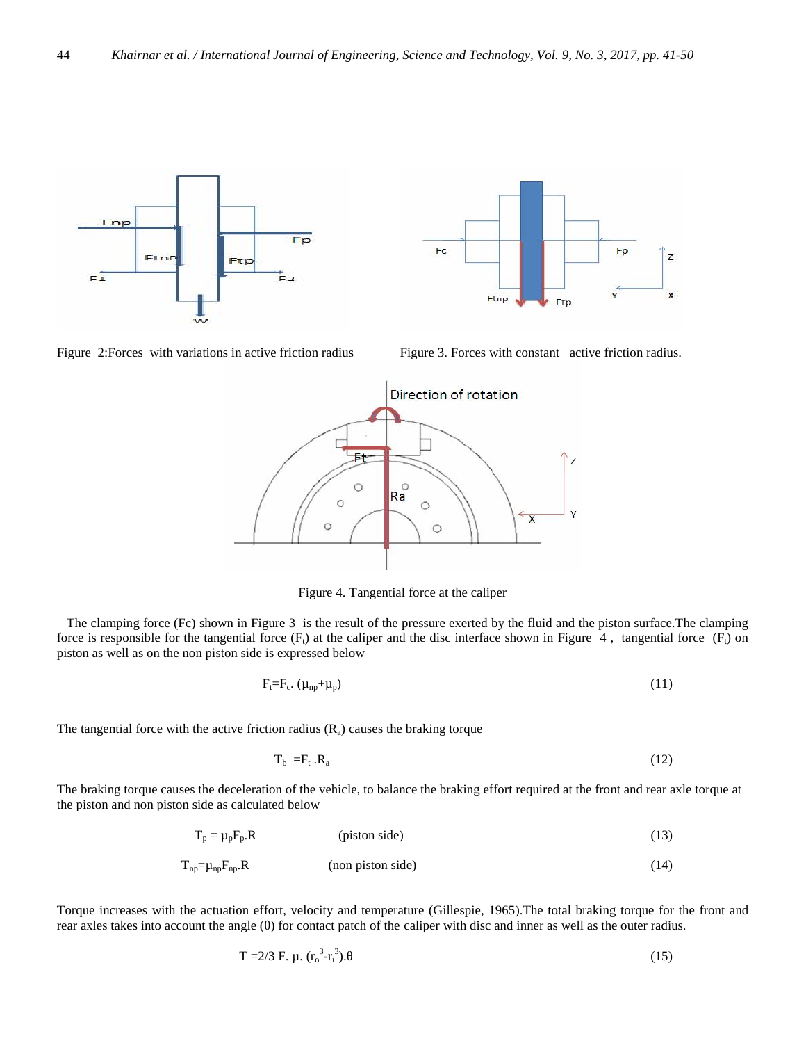



Figure 2: Forces with variations in active friction radius Figure 3. Forces with constant active friction radius.



Figure 4. Tangential force at the caliper

The clamping force (Fc) shown in Figure 3 is the result of the pressure exerted by the fluid and the piston surface.The clamping force is responsible for the tangential force  $(F_t)$  at the caliper and the disc interface shown in Figure 4, tangential force  $(F_t)$  on piston as well as on the non piston side is expressed below

$$
F_t = F_c. \left(\mu_{np} + \mu_p\right) \tag{11}
$$

The tangential force with the active friction radius  $(R_a)$  causes the braking torque

$$
T_b = F_t \cdot R_a \tag{12}
$$

The braking torque causes the deceleration of the vehicle, to balance the braking effort required at the front and rear axle torque at the piston and non piston side as calculated below

$$
T_p = \mu_p F_p \tag{13}
$$

$$
T_{np} = \mu_{np} F_{np} . R \tag{14}
$$

Torque increases with the actuation effort, velocity and temperature (Gillespie, 1965).The total braking torque for the front and rear axles takes into account the angle () for contact patch of the caliper with disc and inner as well as the outer radius.

$$
T = 2/3 F. \mu. (r_0^3 - r_1^3). \tag{15}
$$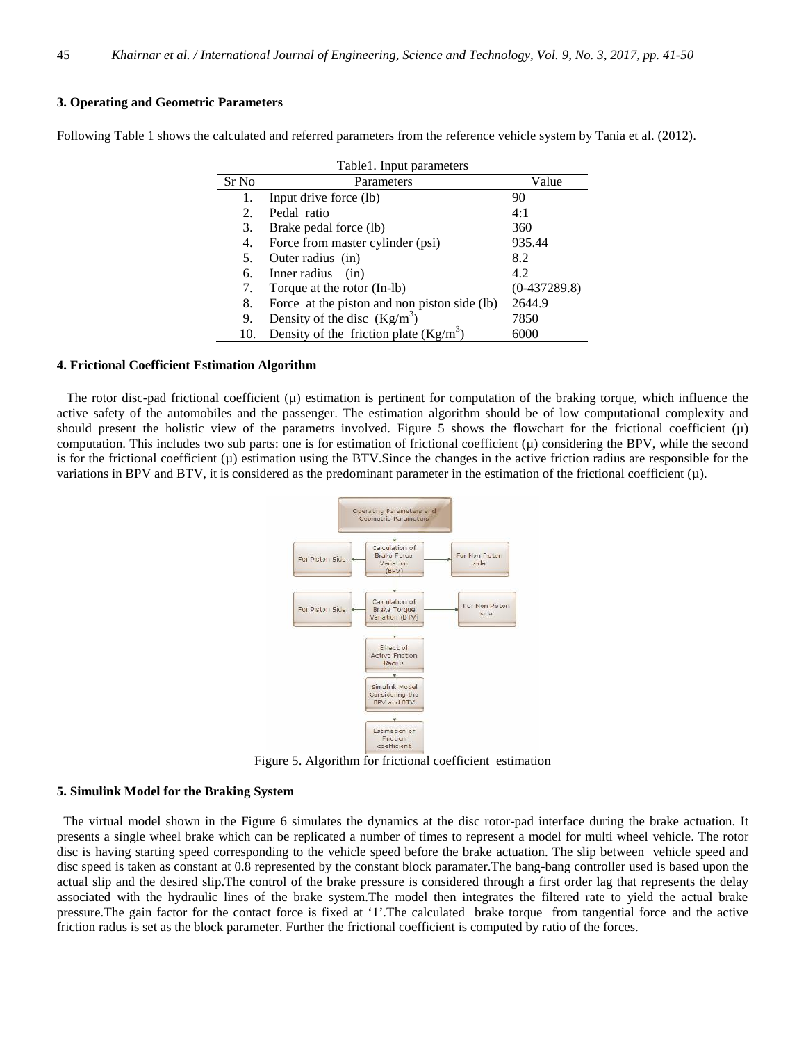## **3. Operating and Geometric Parameters**

Following Table 1 shows the calculated and referred parameters from the reference vehicle system by Tania et al. (2012).

| Table1. Input parameters |                                              |                |
|--------------------------|----------------------------------------------|----------------|
| Sr No                    | Parameters                                   | Value          |
| 1.                       | Input drive force (lb)                       | 90             |
| 2.                       | Pedal ratio                                  | 4:1            |
| 3.                       | Brake pedal force (lb)                       | 360            |
| 4.                       | Force from master cylinder (psi)             | 935.44         |
| 5.                       | Outer radius (in)                            | 8.2            |
| б.                       | Inner radius<br>(in)                         | 4.2            |
| 7.                       | Torque at the rotor (In-lb)                  | $(0-437289.8)$ |
| 8.                       | Force at the piston and non piston side (lb) | 2644.9         |
| 9.                       | Density of the disc $(Kg/m^3)$               | 7850           |
| 10.                      | Density of the friction plate $(Kg/m^3)$     | 6000           |

### **4. Frictional Coefficient Estimation Algorithm**

The rotor disc-pad frictional coefficient  $(\mu)$  estimation is pertinent for computation of the braking torque, which influence the active safety of the automobiles and the passenger. The estimation algorithm should be of low computational complexity and should present the holistic view of the parametrs involved. Figure 5 shows the flowchart for the frictional coefficient  $(\mu)$ computation. This includes two sub parts: one is for estimation of frictional coefficient  $(\mu)$  considering the BPV, while the second is for the frictional coefficient  $(\mu)$  estimation using the BTV. Since the changes in the active friction radius are responsible for the variations in BPV and BTV, it is considered as the predominant parameter in the estimation of the frictional coefficient  $(\mu)$ .



Figure 5. Algorithm for frictional coefficient estimation

#### **5. Simulink Model for the Braking System**

 The virtual model shown in the Figure 6 simulates the dynamics at the disc rotor-pad interface during the brake actuation. It presents a single wheel brake which can be replicated a number of times to represent a model for multi wheel vehicle. The rotor disc is having starting speed corresponding to the vehicle speed before the brake actuation. The slip between vehicle speed and disc speed is taken as constant at 0.8 represented by the constant block paramater.The bang-bang controller used is based upon the actual slip and the desired slip.The control of the brake pressure is considered through a first order lag that represents the delay associated with the hydraulic lines of the brake system.The model then integrates the filtered rate to yield the actual brake pressure.The gain factor for the contact force is fixed at '1'.The calculated brake torque from tangential force and the active friction radus is set as the block parameter. Further the frictional coefficient is computed by ratio of the forces.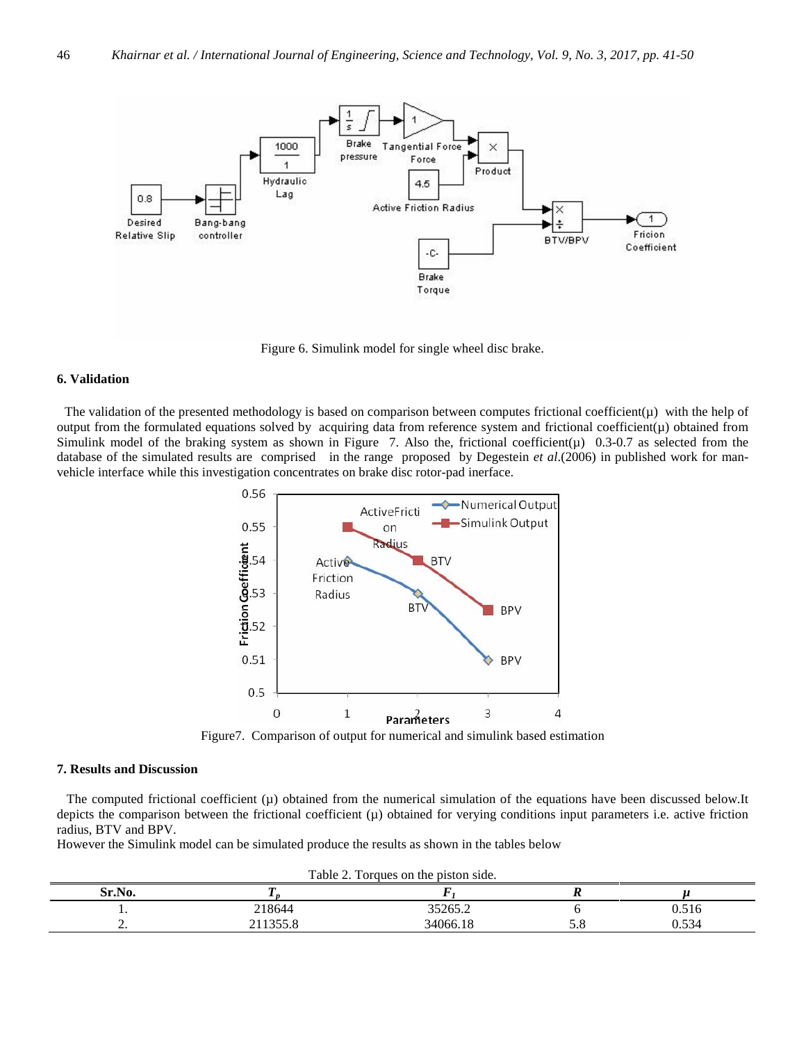

Figure 6. Simulink model for single wheel disc brake.

#### **6. Validation**

The validation of the presented methodology is based on comparison between computes frictional coefficient( $\mu$ ) with the help of output from the formulated equations solved by acquiring data from reference system and frictional coefficient( $\mu$ ) obtained from Simulink model of the braking system as shown in Figure 7. Also the, frictional coefficient( $\mu$ ) 0.3-0.7 as selected from the database of the simulated results are comprised in the range proposed by Degestein *et al*.(2006) in published work for man vehicle interface while this investigation concentrates on brake disc rotor-pad inerface.



Figure7. Comparison of output for numerical and simulink based estimation

## **7. Results and Discussion**

The computed frictional coefficient  $(\mu)$  obtained from the numerical simulation of the equations have been discussed below.It depicts the comparison between the frictional coefficient  $(\mu)$  obtained for verying conditions input parameters i.e. active friction radius, BTV and BPV.

However the Simulink model can be simulated produce the results as shown in the tables below

| Table 2. Torques on the piston side. |          |          |     |       |
|--------------------------------------|----------|----------|-----|-------|
| Sr.No.                               |          |          |     |       |
| . .                                  | 218644   | 35265.2  |     | 0.516 |
| <u>.</u>                             | 211355.8 | 34066.18 | J.O | 0.534 |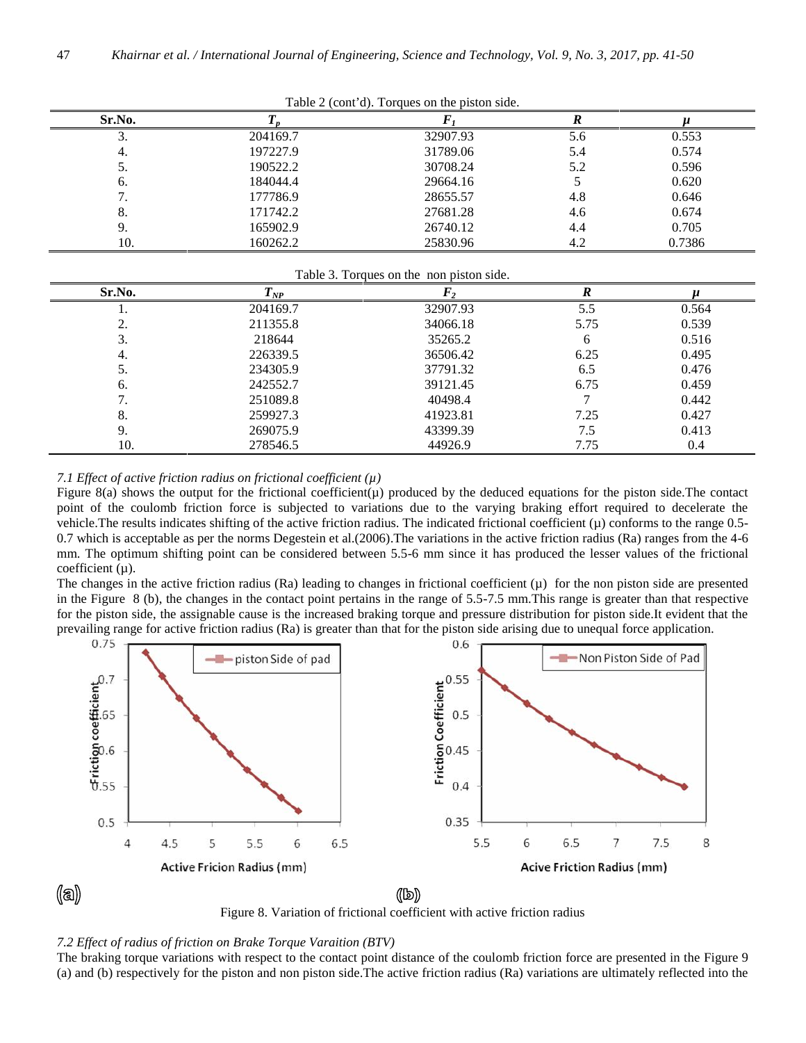| Sr.No. |          |          |     |        |
|--------|----------|----------|-----|--------|
|        | 204169.7 | 32907.93 | 5.6 | 0.553  |
| 4.     | 197227.9 | 31789.06 | 5.4 | 0.574  |
| J.     | 190522.2 | 30708.24 | 5.2 | 0.596  |
| b.     | 184044.4 | 29664.16 |     | 0.620  |
|        | 177786.9 | 28655.57 | 4.8 | 0.646  |
| 8.     | 171742.2 | 27681.28 | 4.6 | 0.674  |
| 9.     | 165902.9 | 26740.12 | 4.4 | 0.705  |
| 10.    | 160262.2 | 25830.96 | 4.2 | 0.7386 |

Table 2 (cont'd). Torques on the piston side.

| Sr.No. | $\bm{T_{NP}}$ | F,       |      |       |
|--------|---------------|----------|------|-------|
|        | 204169.7      | 32907.93 | 5.5  | 0.564 |
|        | 211355.8      | 34066.18 | 5.75 | 0.539 |
| Ć.     | 218644        | 35265.2  | h    | 0.516 |
| 4.     | 226339.5      | 36506.42 | 6.25 | 0.495 |
| J.     | 234305.9      | 37791.32 | 6.5  | 0.476 |
| 6.     | 242552.7      | 39121.45 | 6.75 | 0.459 |
|        | 251089.8      | 40498.4  |      | 0.442 |
| 8.     | 259927.3      | 41923.81 | 7.25 | 0.427 |
| 9.     | 269075.9      | 43399.39 | 7.5  | 0.413 |
| 10.    | 278546.5      | 44926.9  | 7.75 | 0.4   |

*7.1 Effect of active friction radius on frictional coefficient (µ)*

Figure 8(a) shows the output for the frictional coefficient( $\mu$ ) produced by the deduced equations for the piston side. The contact point of the coulomb friction force is subjected to variations due to the varying braking effort required to decelerate the vehicle. The results indicates shifting of the active friction radius. The indicated frictional coefficient  $(\mu)$  conforms to the range 0.5-0.7 which is acceptable as per the norms Degestein et al.(2006).The variations in the active friction radius (Ra) ranges from the 4-6 mm. The optimum shifting point can be considered between 5.5-6 mm since it has produced the lesser values of the frictional coefficient  $(\mu)$ .

The changes in the active friction radius (Ra) leading to changes in frictional coefficient  $(\mu)$  for the non piston side are presented in the Figure 8 (b), the changes in the contact point pertains in the range of 5.5-7.5 mm.This range is greater than that respective for the piston side, the assignable cause is the increased braking torque and pressure distribution for piston side.It evident that the prevailing range for active friction radius (Ra) is greater than that for the piston side arising due to unequal force application.<br>
0.5



Figure 8. Variation of frictional coefficient with active friction radius

The braking torque variations with respect to the contact point distance of the coulomb friction force are presented in the Figure 9 (a) and (b) respectively for the piston and non piston side.The active friction radius (Ra) variations are ultimately reflected into the

*<sup>7.2</sup> Effect of radius of friction on Brake Torque Varaition (BTV)*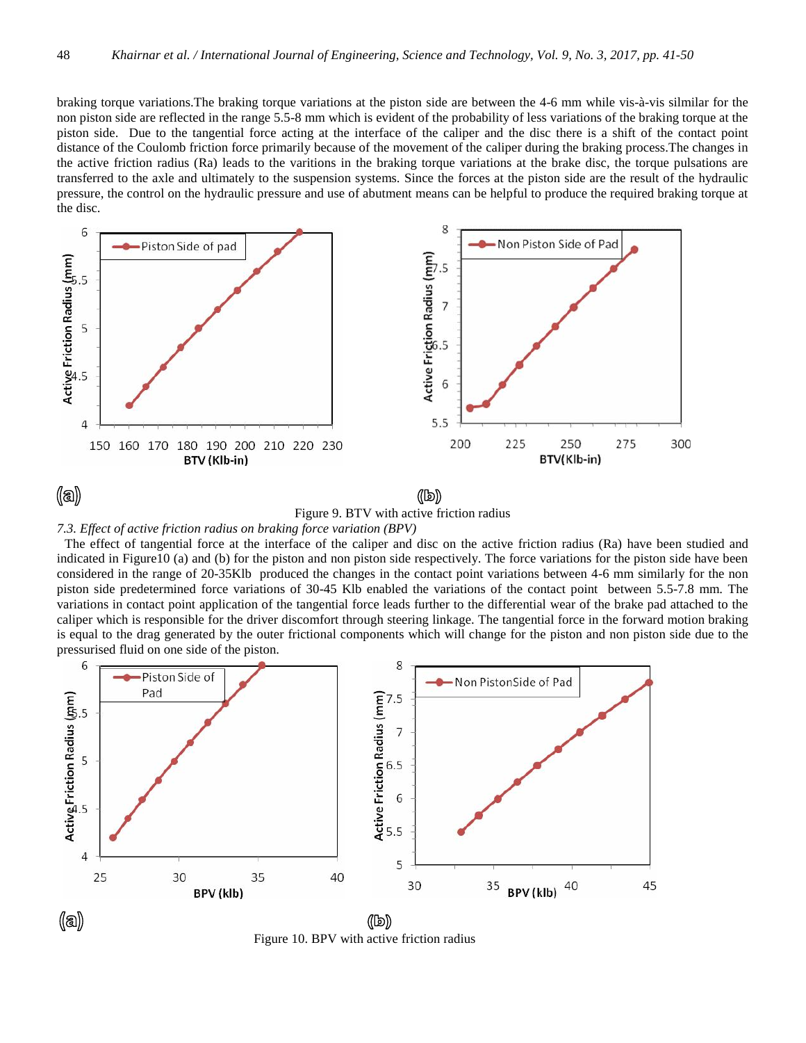braking torque variations.The braking torque variations at the piston side are between the 4-6 mm while vis-à-vis silmilar for the non piston side are reflected in the range 5.5-8 mm which is evident of the probability of less variations of the braking torque at the piston side. Due to the tangential force acting at the interface of the caliper and the disc there is a shift of the contact point distance of the Coulomb friction force primarily because of the movement of the caliper during the braking process.The changes in the active friction radius (Ra) leads to the varitions in the braking torque variations at the brake disc, the torque pulsations are transferred to the axle and ultimately to the suspension systems. Since the forces at the piston side are the result of the hydraulic pressure, the control on the hydraulic pressure and use of abutment means can be helpful to produce the required braking torque at the disc.



((ඹ)

Figure 9. BTV with active friction radius

(நி)

*7.3. Effect of active friction radius on braking force variation (BPV)*

The effect of tangential force at the interface of the caliper and disc on the active friction radius (Ra) have been studied and indicated in Figure10 (a) and (b) for the piston and non piston side respectively. The force variations for the piston side have been considered in the range of 20-35Klb produced the changes in the contact point variations between 4-6 mm similarly for the non piston side predetermined force variations of 30-45 Klb enabled the variations of the contact point between 5.5-7.8 mm. The variations in contact point application of the tangential force leads further to the differential wear of the brake pad attached to the caliper which is responsible for the driver discomfort through steering linkage. The tangential force in the forward motion braking is equal to the drag generated by the outer frictional components which will change for the piston and non piston side due to the pressurised fluid on one side of the piston.



Figure 10. BPV with active friction radius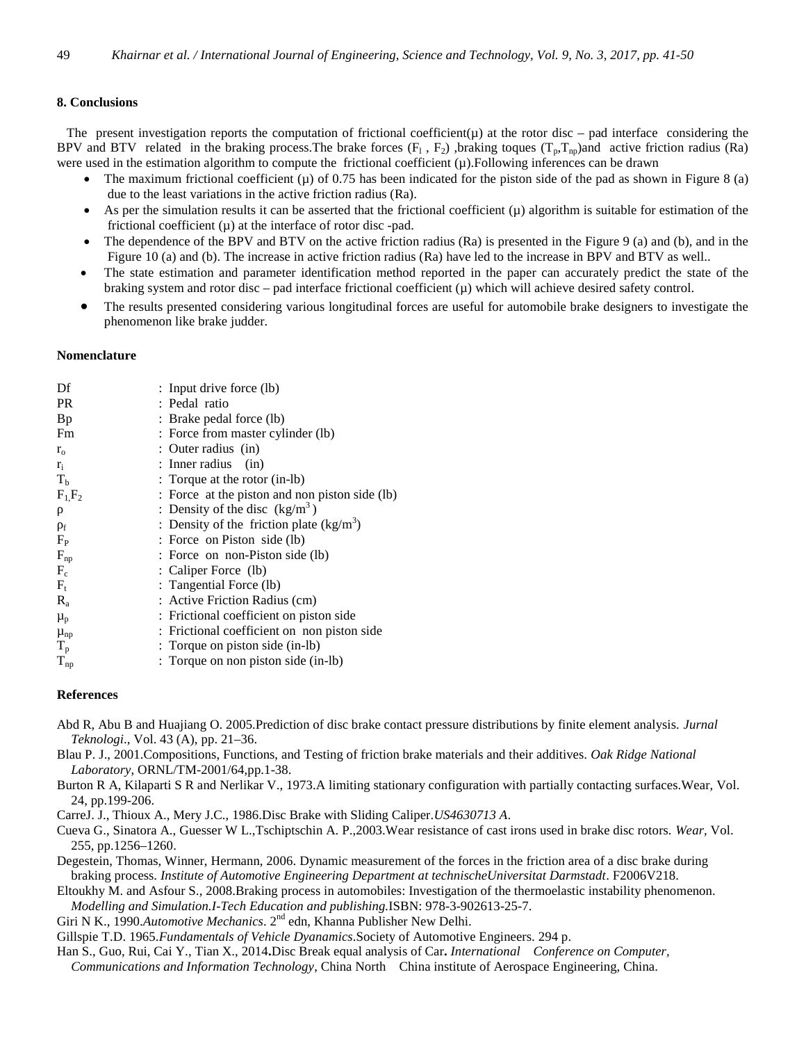### **8. Conclusions**

The present investigation reports the computation of frictional coefficient( $\mu$ ) at the rotor disc – pad interface considering the BPV and BTV related in the braking process. The brake forces  $(F_1, F_2)$ , braking toques  $(T_p, T_{np})$ and active friction radius (Ra) were used in the estimation algorithm to compute the frictional coefficient  $(\mu)$ . Following inferences can be drawn

- The maximum frictional coefficient  $(\mu)$  of 0.75 has been indicated for the piston side of the pad as shown in Figure 8 (a) due to the least variations in the active friction radius (Ra).
- As per the simulation results it can be asserted that the frictional coefficient  $(\mu)$  algorithm is suitable for estimation of the frictional coefficient  $(\mu)$  at the interface of rotor disc -pad.
- $\bullet$  The dependence of the BPV and BTV on the active friction radius (Ra) is presented in the Figure 9 (a) and (b), and in the Figure 10 (a) and (b). The increase in active friction radius (Ra) have led to the increase in BPV and BTV as well..
- The state estimation and parameter identification method reported in the paper can accurately predict the state of the braking system and rotor disc – pad interface frictional coefficient  $(\mu)$  which will achieve desired safety control.
- The results presented considering various longitudinal forces are useful for automobile brake designers to investigate the phenomenon like brake judder.

## **Nomenclature**

| Df             | : Input drive force (lb)                       |
|----------------|------------------------------------------------|
| <b>PR</b>      | : Pedal ratio                                  |
| <b>Bp</b>      | : Brake pedal force (lb)                       |
| Fm             | : Force from master cylinder (lb)              |
| $r_{0}$        | : Outer radius (in)                            |
| $r_i$          | : Inner radius<br>(in)                         |
| T <sub>b</sub> | : Torque at the rotor (in-lb)                  |
| $F_1.F_2$      | : Force at the piston and non piston side (lb) |
|                | : Density of the disc $(kg/m3)$                |
| f              | : Density of the friction plate $(kg/m3)$      |
| $F_{\rm P}$    | : Force on Piston side (lb)                    |
| $F_{np}$       | : Force on non-Piston side (lb)                |
| $F_c$          | : Caliper Force (lb)                           |
| $F_t$          | : Tangential Force (lb)                        |
| $R_{a}$        | : Active Friction Radius (cm)                  |
| $\mu_{\rm p}$  | : Frictional coefficient on piston side        |
| $\mu_{np}$     | : Frictional coefficient on non piston side    |
| $T_p$          | : Torque on piston side (in-lb)                |
| $T_{np}$       | : Torque on non piston side (in-lb)            |

#### **References**

- Abd R, Abu B and Huajiang O. 2005.Prediction of disc brake contact pressure distributions by finite element analysis. *Jurnal Teknologi*., Vol. 43 (A), pp. 21–36.
- Blau P. J., 2001.Compositions, Functions, and Testing of friction brake materials and their additives*. Oak Ridge National Laboratory*, ORNL/TM-2001/64,pp.1-38.
- Burton R A, Kilaparti S R and Nerlikar V., 1973.A limiting stationary configuration with partially contacting surfaces.Wear, Vol. 24, pp.199-206.
- CarreJ. J., Thioux A., Mery J.C., 1986.Disc Brake with Sliding Caliper.*US4630713 A*.
- Cueva G., Sinatora A., Guesser W L.,Tschiptschin A. P.,2003.Wear resistance of cast irons used in brake disc rotors. *Wear,* Vol. 255, pp.1256–1260.
- Degestein, Thomas, Winner, Hermann, 2006. Dynamic measurement of the forces in the friction area of a disc brake during braking process. *Institute of Automotive Engineering Department at technischeUniversitat Darmstadt*. F2006V218.
- Eltoukhy M. and Asfour S., 2008.Braking process in automobiles: Investigation of the thermoelastic instability phenomenon. *Modelling and Simulation.I-Tech Education and publishing.*ISBN: 978-3-902613-25-7.
- Giri N K., 1990.*Automotive Mechanics*. 2nd edn, Khanna Publisher New Delhi.
- Gillspie T.D. 1965.*Fundamentals of Vehicle Dyanamics*.Society of Automotive Engineers. 294 p.
- Han S., Guo, Rui, Cai Y., Tian X., 2014**.**Disc Break equal analysis of Car**.** *International Conference on Computer, Communications and Information Technology*, China North China institute of Aerospace Engineering, China.